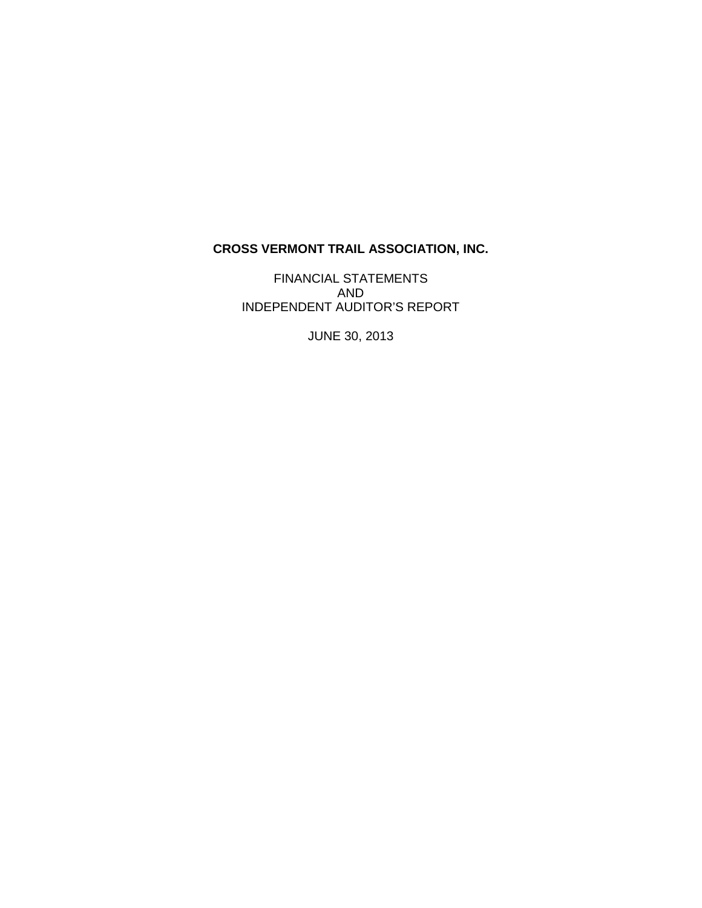# **CROSS VERMONT TRAIL ASSOCIATION, INC.**

FINANCIAL STATEMENTS AND INDEPENDENT AUDITOR'S REPORT

JUNE 30, 2013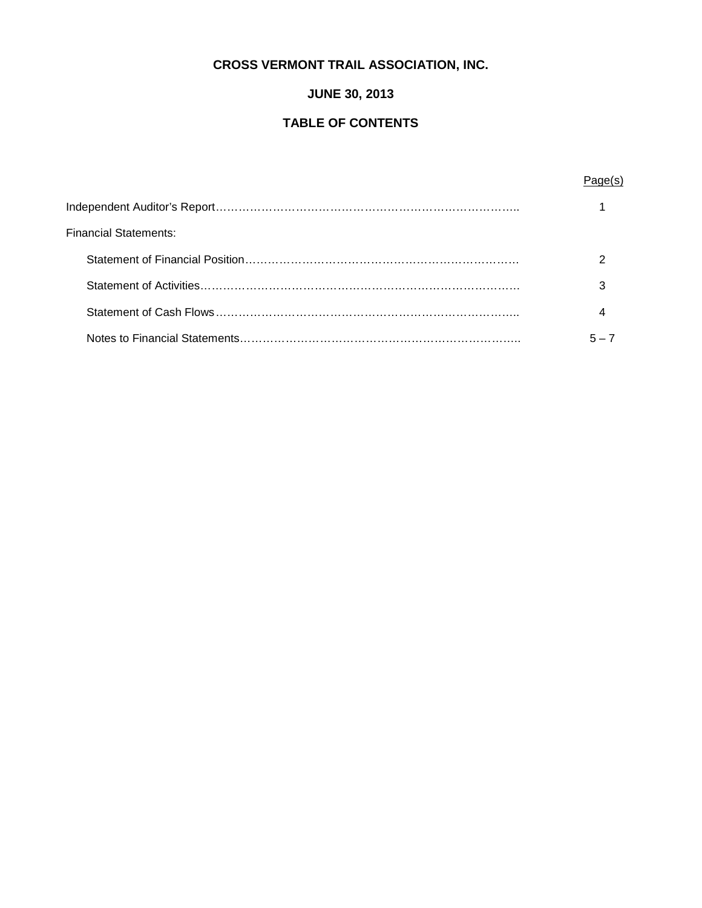# **CROSS VERMONT TRAIL ASSOCIATION, INC.**

# **JUNE 30, 2013**

# **TABLE OF CONTENTS**

# Page(s)

| Financial Statements: |       |
|-----------------------|-------|
|                       |       |
|                       |       |
|                       |       |
|                       | 5 — 1 |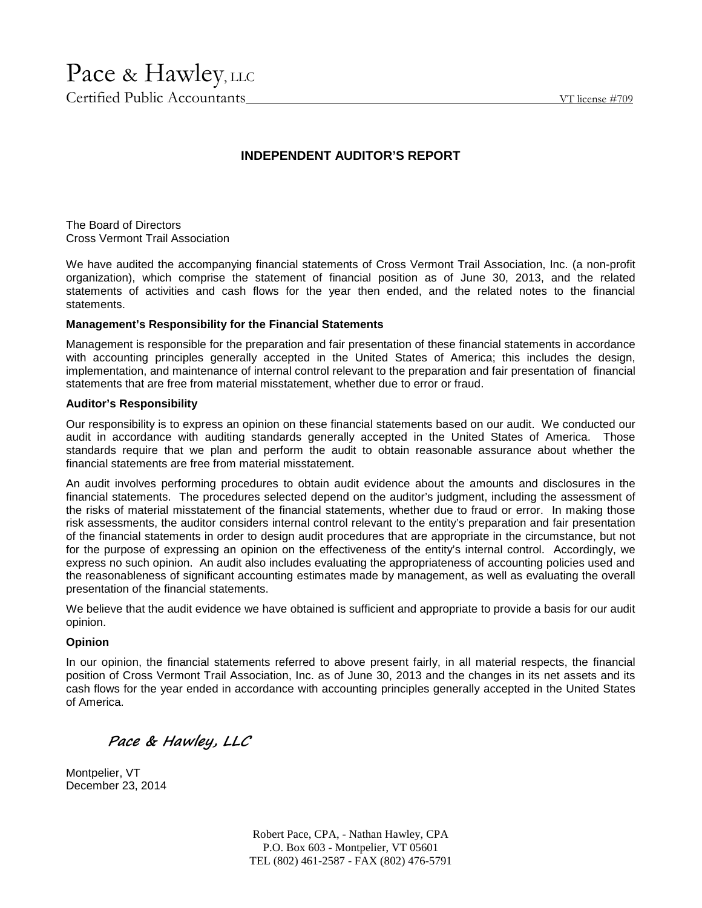# Pace & Hawley, LLC

Certified Public Accountants VT license #709

# **INDEPENDENT AUDITOR'S REPORT**

The Board of Directors Cross Vermont Trail Association

We have audited the accompanying financial statements of Cross Vermont Trail Association, Inc. (a non-profit organization), which comprise the statement of financial position as of June 30, 2013, and the related statements of activities and cash flows for the year then ended, and the related notes to the financial statements.

## **Management's Responsibility for the Financial Statements**

Management is responsible for the preparation and fair presentation of these financial statements in accordance with accounting principles generally accepted in the United States of America; this includes the design, implementation, and maintenance of internal control relevant to the preparation and fair presentation of financial statements that are free from material misstatement, whether due to error or fraud.

## **Auditor's Responsibility**

Our responsibility is to express an opinion on these financial statements based on our audit. We conducted our audit in accordance with auditing standards generally accepted in the United States of America. Those standards require that we plan and perform the audit to obtain reasonable assurance about whether the financial statements are free from material misstatement.

An audit involves performing procedures to obtain audit evidence about the amounts and disclosures in the financial statements. The procedures selected depend on the auditor's judgment, including the assessment of the risks of material misstatement of the financial statements, whether due to fraud or error. In making those risk assessments, the auditor considers internal control relevant to the entity's preparation and fair presentation of the financial statements in order to design audit procedures that are appropriate in the circumstance, but not for the purpose of expressing an opinion on the effectiveness of the entity's internal control. Accordingly, we express no such opinion. An audit also includes evaluating the appropriateness of accounting policies used and the reasonableness of significant accounting estimates made by management, as well as evaluating the overall presentation of the financial statements.

We believe that the audit evidence we have obtained is sufficient and appropriate to provide a basis for our audit opinion.

## **Opinion**

In our opinion, the financial statements referred to above present fairly, in all material respects, the financial position of Cross Vermont Trail Association, Inc. as of June 30, 2013 and the changes in its net assets and its cash flows for the year ended in accordance with accounting principles generally accepted in the United States of America.

*Pace & Hawley, LLC*

Montpelier, VT December 23, 2014

> Robert Pace, CPA, - Nathan Hawley, CPA P.O. Box 603 - Montpelier, VT 05601 TEL (802) 461-2587 - FAX (802) 476-5791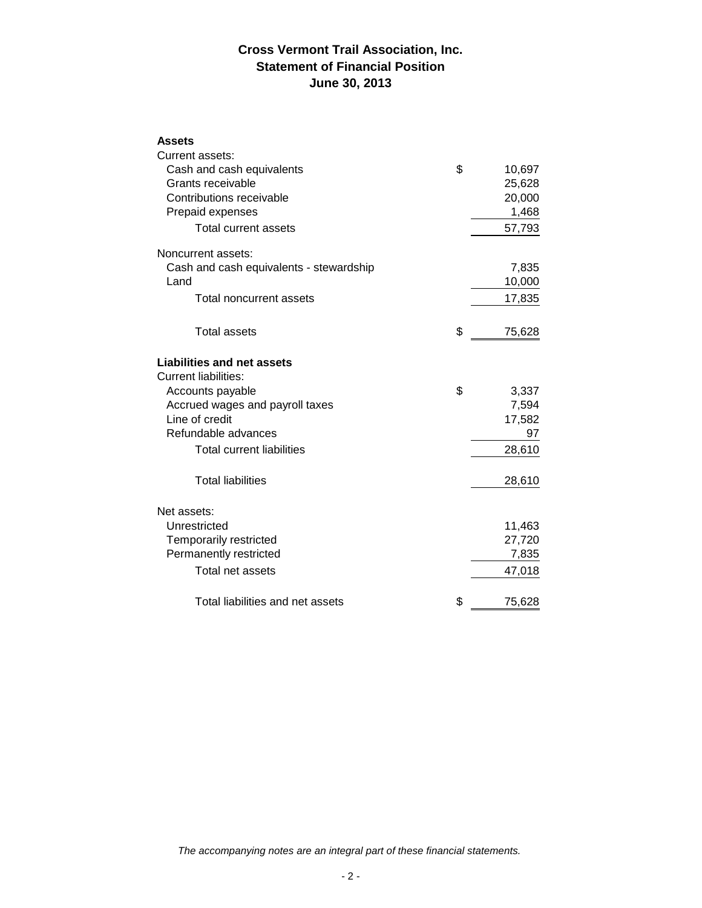# **Cross Vermont Trail Association, Inc. Statement of Financial Position June 30, 2013**

## **Assets**

| Current assets:                         |              |
|-----------------------------------------|--------------|
| Cash and cash equivalents               | \$<br>10,697 |
| Grants receivable                       | 25,628       |
| Contributions receivable                | 20,000       |
| Prepaid expenses                        | 1,468        |
| <b>Total current assets</b>             | 57,793       |
| Noncurrent assets:                      |              |
| Cash and cash equivalents - stewardship | 7,835        |
| Land                                    | 10,000       |
| <b>Total noncurrent assets</b>          | 17,835       |
| <b>Total assets</b>                     | \$<br>75,628 |
| <b>Liabilities and net assets</b>       |              |
| <b>Current liabilities:</b>             |              |
| Accounts payable                        | \$<br>3,337  |
| Accrued wages and payroll taxes         | 7,594        |
| Line of credit                          | 17,582       |
| Refundable advances                     | 97           |
| Total current liabilities               | 28,610       |
| <b>Total liabilities</b>                | 28,610       |
| Net assets:                             |              |
| Unrestricted                            | 11,463       |
| Temporarily restricted                  | 27,720       |
| Permanently restricted                  | 7,835        |
| Total net assets                        | 47,018       |
| Total liabilities and net assets        | \$<br>75,628 |

*The accompanying notes are an integral part of these financial statements.*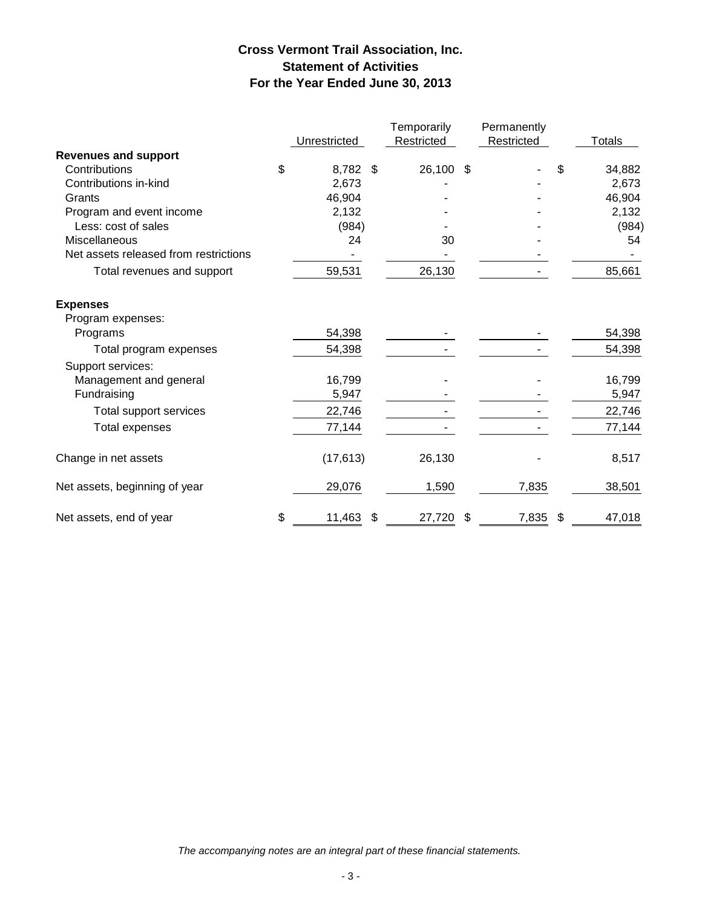# **Cross Vermont Trail Association, Inc. Statement of Activities For the Year Ended June 30, 2013**

|                                       |                | Temporarily  | Permanently |                           |               |
|---------------------------------------|----------------|--------------|-------------|---------------------------|---------------|
|                                       | Unrestricted   | Restricted   | Restricted  |                           | <b>Totals</b> |
| <b>Revenues and support</b>           |                |              |             |                           |               |
| Contributions                         | \$<br>8,782 \$ | 26,100 \$    |             | \$                        | 34,882        |
| Contributions in-kind                 | 2,673          |              |             |                           | 2,673         |
| Grants                                | 46,904         |              |             |                           | 46,904        |
| Program and event income              | 2,132          |              |             |                           | 2,132         |
| Less: cost of sales                   | (984)          |              |             |                           | (984)         |
| Miscellaneous                         | 24             | 30           |             |                           | 54            |
| Net assets released from restrictions |                |              |             |                           |               |
| Total revenues and support            | 59,531         | 26,130       |             |                           | 85,661        |
| <b>Expenses</b>                       |                |              |             |                           |               |
| Program expenses:                     |                |              |             |                           |               |
| Programs                              | 54,398         |              |             |                           | 54,398        |
| Total program expenses                | 54,398         |              |             |                           | 54,398        |
| Support services:                     |                |              |             |                           |               |
| Management and general                | 16,799         |              |             |                           | 16,799        |
| Fundraising                           | 5,947          |              |             |                           | 5,947         |
| Total support services                | 22,746         |              |             |                           | 22,746        |
| <b>Total expenses</b>                 | 77,144         |              |             |                           | 77,144        |
| Change in net assets                  | (17, 613)      | 26,130       |             |                           | 8,517         |
| Net assets, beginning of year         | 29,076         | 1,590        | 7,835       |                           | 38,501        |
| Net assets, end of year               | \$<br>11,463   | \$<br>27,720 | \$<br>7,835 | $\boldsymbol{\mathsf{S}}$ | 47,018        |

*The accompanying notes are an integral part of these financial statements.*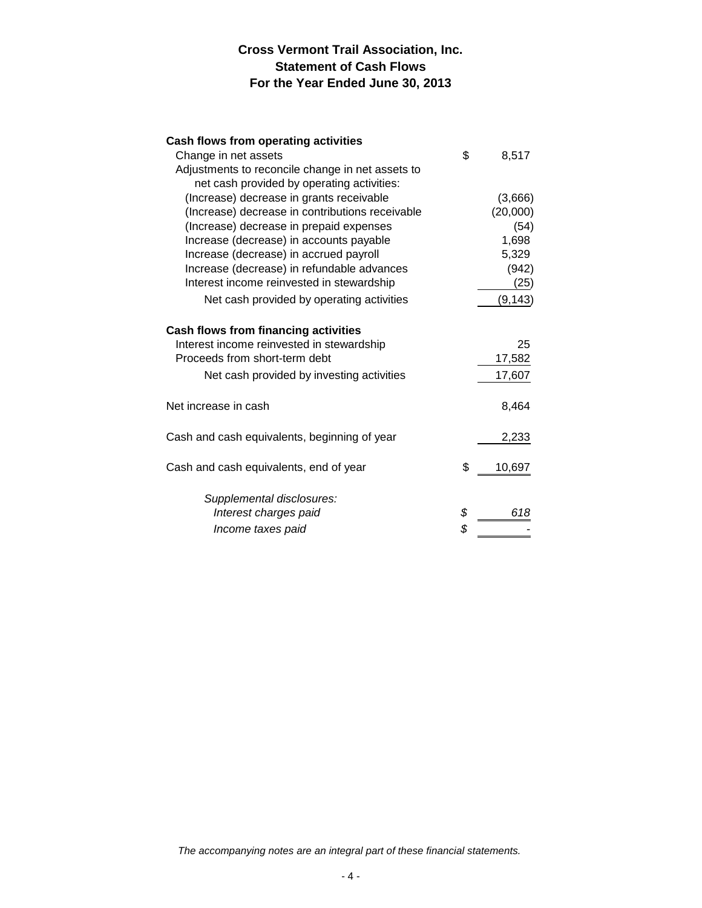# **Cross Vermont Trail Association, Inc. Statement of Cash Flows For the Year Ended June 30, 2013**

# **Cash flows from operating activities**

| \$<br>8,517  |  |
|--------------|--|
|              |  |
|              |  |
| (3,666)      |  |
| (20,000)     |  |
| (54)         |  |
| 1,698        |  |
| 5,329        |  |
| (942)        |  |
| (25)         |  |
| (9, 143)     |  |
|              |  |
| 25           |  |
| 17,582       |  |
| 17,607       |  |
| 8,464        |  |
| 2,233        |  |
| \$<br>10,697 |  |
|              |  |
| \$<br>618    |  |
| \$           |  |
|              |  |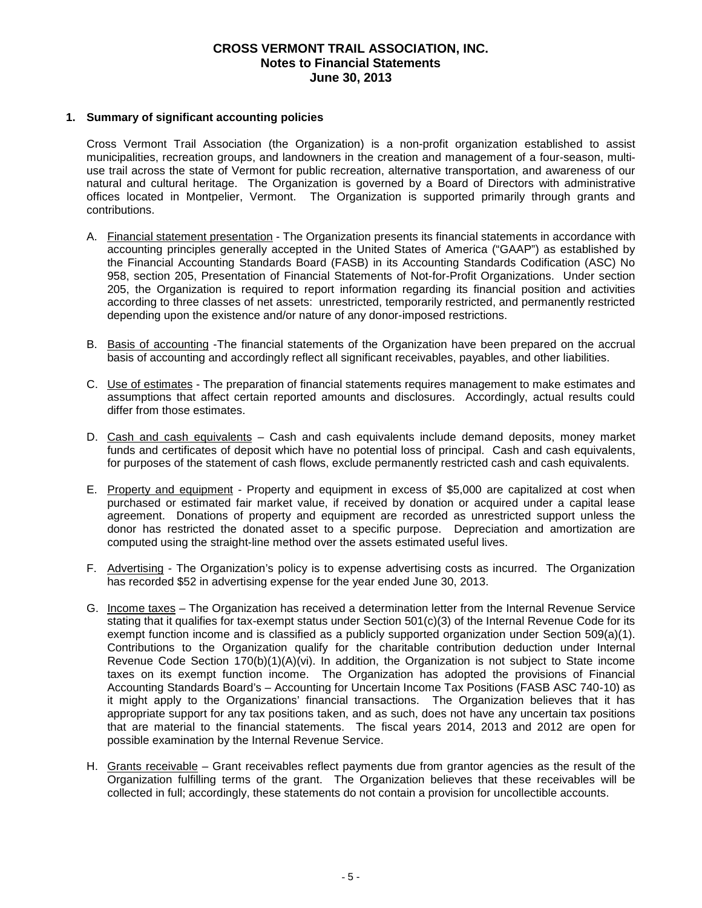## **CROSS VERMONT TRAIL ASSOCIATION, INC. Notes to Financial Statements June 30, 2013**

#### **1. Summary of significant accounting policies**

Cross Vermont Trail Association (the Organization) is a non-profit organization established to assist municipalities, recreation groups, and landowners in the creation and management of a four-season, multi use trail across the state of Vermont for public recreation, alternative transportation, and awareness of our natural and cultural heritage. The Organization is governed by a Board of Directors with administrative offices located in Montpelier, Vermont. The Organization is supported primarily through grants and contributions.

- A. Financial statement presentation The Organization presents its financial statements in accordance with accounting principles generally accepted in the United States of America ("GAAP") as established by the Financial Accounting Standards Board (FASB) in its Accounting Standards Codification (ASC) No 958, section 205, Presentation of Financial Statements of Not-for-Profit Organizations. Under section 205, the Organization is required to report information regarding its financial position and activities according to three classes of net assets: unrestricted, temporarily restricted, and permanently restricted depending upon the existence and/or nature of any donor-imposed restrictions.
- B. Basis of accounting -The financial statements of the Organization have been prepared on the accrual basis of accounting and accordingly reflect all significant receivables, payables, and other liabilities.
- C. Use of estimates The preparation of financial statements requires management to make estimates and assumptions that affect certain reported amounts and disclosures. Accordingly, actual results could differ from those estimates.
- D. Cash and cash equivalents Cash and cash equivalents include demand deposits, money market funds and certificates of deposit which have no potential loss of principal. Cash and cash equivalents, for purposes of the statement of cash flows, exclude permanently restricted cash and cash equivalents.
- E. Property and equipment Property and equipment in excess of \$5,000 are capitalized at cost when purchased or estimated fair market value, if received by donation or acquired under a capital lease agreement. Donations of property and equipment are recorded as unrestricted support unless the donor has restricted the donated asset to a specific purpose. Depreciation and amortization are computed using the straight-line method over the assets estimated useful lives.
- F. Advertising The Organization's policy is to expense advertising costs as incurred. The Organization has recorded \$52 in advertising expense for the year ended June 30, 2013.
- G. Income taxes The Organization has received a determination letter from the Internal Revenue Service stating that it qualifies for tax-exempt status under Section 501(c)(3) of the Internal Revenue Code for its exempt function income and is classified as a publicly supported organization under Section 509(a)(1). Contributions to the Organization qualify for the charitable contribution deduction under Internal Revenue Code Section  $170(b)(1)(A)(vi)$ . In addition, the Organization is not subject to State income taxes on its exempt function income. The Organization has adopted the provisions of Financial Accounting Standards Board's – Accounting for Uncertain Income Tax Positions (FASB ASC 740-10) as it might apply to the Organizations' financial transactions. The Organization believes that it has appropriate support for any tax positions taken, and as such, does not have any uncertain tax positions that are material to the financial statements. The fiscal years 2014, 2013 and 2012 are open for possible examination by the Internal Revenue Service.
- H. Grants receivable Grant receivables reflect payments due from grantor agencies as the result of the Organization fulfilling terms of the grant. The Organization believes that these receivables will be collected in full; accordingly, these statements do not contain a provision for uncollectible accounts.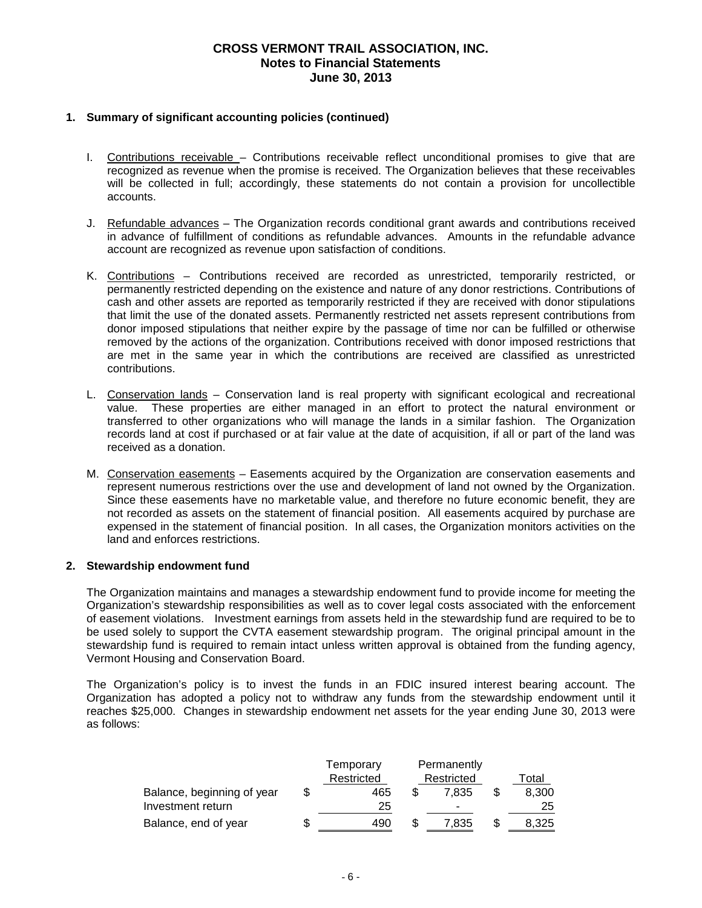## **CROSS VERMONT TRAIL ASSOCIATION, INC. Notes to Financial Statements June 30, 2013**

#### **1. Summary of significant accounting policies (continued)**

- I. Contributions receivable Contributions receivable reflect unconditional promises to give that are recognized as revenue when the promise is received. The Organization believes that these receivables will be collected in full; accordingly, these statements do not contain a provision for uncollectible accounts.
- J. Refundable advances The Organization records conditional grant awards and contributions received in advance of fulfillment of conditions as refundable advances. Amounts in the refundable advance account are recognized as revenue upon satisfaction of conditions.
- K. Contributions Contributions received are recorded as unrestricted, temporarily restricted, or permanently restricted depending on the existence and nature of any donor restrictions. Contributions of cash and other assets are reported as temporarily restricted if they are received with donor stipulations that limit the use of the donated assets. Permanently restricted net assets represent contributions from donor imposed stipulations that neither expire by the passage of time nor can be fulfilled or otherwise removed by the actions of the organization. Contributions received with donor imposed restrictions that are met in the same year in which the contributions are received are classified as unrestricted contributions.
- L. Conservation lands Conservation land is real property with significant ecological and recreational value. These properties are either managed in an effort to protect the natural environment or transferred to other organizations who will manage the lands in a similar fashion. The Organization records land at cost if purchased or at fair value at the date of acquisition, if all or part of the land was received as a donation.
- M. Conservation easements Easements acquired by the Organization are conservation easements and represent numerous restrictions over the use and development of land not owned by the Organization. Since these easements have no marketable value, and therefore no future economic benefit, they are not recorded as assets on the statement of financial position. All easements acquired by purchase are expensed in the statement of financial position. In all cases, the Organization monitors activities on the land and enforces restrictions.

#### **2. Stewardship endowment fund**

The Organization maintains and manages a stewardship endowment fund to provide income for meeting the Organization's stewardship responsibilities as well as to cover legal costs associated with the enforcement of easement violations. Investment earnings from assets held in the stewardship fund are required to be to be used solely to support the CVTA easement stewardship program. The original principal amount in the stewardship fund is required to remain intact unless written approval is obtained from the funding agency, Vermont Housing and Conservation Board.

The Organization's policy is to invest the funds in an FDIC insured interest bearing account. The Organization has adopted a policy not to withdraw any funds from the stewardship endowment until it reaches \$25,000. Changes in stewardship endowment net assets for the year ending June 30, 2013 were as follows:

|                            | Temporary  | Permanently |                          |   |       |
|----------------------------|------------|-------------|--------------------------|---|-------|
|                            | Restricted |             | Restricted               |   | Total |
| Balance, beginning of year | 465        |             | 7.835                    |   | 8.300 |
| Investment return          | 25         |             | $\overline{\phantom{0}}$ |   | 25    |
| Balance, end of year       | 490        |             | 7.835                    | J | 8,325 |